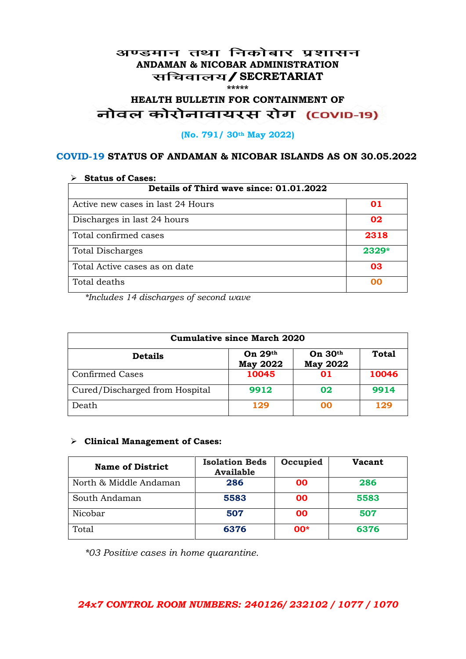#### अण्डमान तथा निकोबार प्रशासन **ANDAMAN & NICOBAR ADMINISTRATION /SECRETARIAT \*\*\*\*\***

# **HEALTH BULLETIN FOR CONTAINMENT OF**  नोवल कोरोनावायरस रोग (COVID-19)

#### **(No. 791/ 30th May 2022)**

#### **COVID-19 STATUS OF ANDAMAN & NICOBAR ISLANDS AS ON 30.05.2022**

| <b>Status of Cases:</b>                 |         |  |
|-----------------------------------------|---------|--|
| Details of Third wave since: 01.01.2022 |         |  |
| Active new cases in last 24 Hours       | 01      |  |
| Discharges in last 24 hours             | 02      |  |
| Total confirmed cases                   | 2318    |  |
| <b>Total Discharges</b>                 | $2329*$ |  |
| Total Active cases as on date           | 03      |  |
| Total deaths                            | OO      |  |

*\*Includes 14 discharges of second wave*

| <b>Cumulative since March 2020</b> |                              |                            |              |
|------------------------------------|------------------------------|----------------------------|--------------|
| <b>Details</b>                     | On $29th$<br><b>May 2022</b> | On 30th<br><b>May 2022</b> | <b>Total</b> |
| <b>Confirmed Cases</b>             | 10045                        | 01                         | 10046        |
| Cured/Discharged from Hospital     | 9912                         | 02                         | 9914         |
| Death                              | 129                          | 00                         | 129          |

#### **Clinical Management of Cases:**

| <b>Name of District</b> | <b>Isolation Beds</b><br><b>Available</b> | Occupied  | Vacant |
|-------------------------|-------------------------------------------|-----------|--------|
| North & Middle Andaman  | 286                                       | <b>OO</b> | 286    |
| South Andaman           | 5583                                      | <b>OO</b> | 5583   |
| Nicobar                 | 507                                       | <b>OO</b> | 507    |
| Total                   | 6376                                      | $00*$     | 6376   |

*\*03 Positive cases in home quarantine.*

#### *24x7 CONTROL ROOM NUMBERS: 240126/ 232102 / 1077 / 1070*